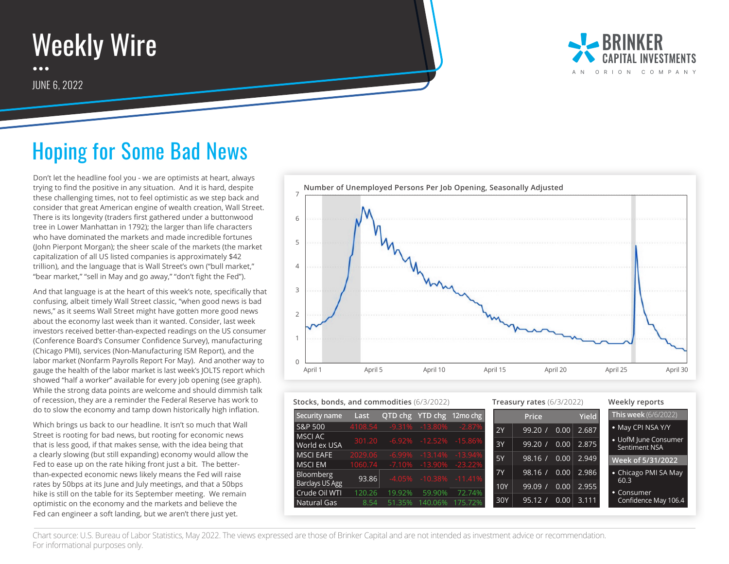## Weekly Wire  $\bullet\bullet\bullet$

JUNE 6, 2022



## Hoping for Some Bad News

Don't let the headline fool you - we are optimists at heart, always trying to find the positive in any situation. And it is hard, despite these challenging times, not to feel optimistic as we step back and consider that great American engine of wealth creation, Wall Street. There is its longevity (traders first gathered under a buttonwood tree in Lower Manhattan in 1792); the larger than life characters who have dominated the markets and made incredible fortunes (John Pierpont Morgan); the sheer scale of the markets (the market capitalization of all US listed companies is approximately \$42 trillion), and the language that is Wall Street's own ("bull market," "bear market," "sell in May and go away," "don't fight the Fed").

And that language is at the heart of this week's note, specifically that confusing, albeit timely Wall Street classic, "when good news is bad news," as it seems Wall Street might have gotten more good news about the economy last week than it wanted. Consider, last week investors received better-than-expected readings on the US consumer (Conference Board's Consumer Confidence Survey), manufacturing (Chicago PMI), services (Non-Manufacturing ISM Report), and the labor market (Nonfarm Payrolls Report For May). And another way to gauge the health of the labor market is last week's JOLTS report which showed "half a worker" available for every job opening (see graph). While the strong data points are welcome and should dimmish talk of recession, they are a reminder the Federal Reserve has work to do to slow the economy and tamp down historically high inflation.

Which brings us back to our headline. It isn't so much that Wall Street is rooting for bad news, but rooting for economic news that is less good, if that makes sense, with the idea being that a clearly slowing (but still expanding) economy would allow the Fed to ease up on the rate hiking front just a bit. The betterthan-expected economic news likely means the Fed will raise rates by 50bps at its June and July meetings, and that a 50bps hike is still on the table for its September meeting. We remain optimistic on the economy and the markets and believe the Fed can engineer a soft landing, but we aren't there just yet.



| Stocks, bonds, and commodities (6/3/2022) |                  |           | Treasury rates $(6/3/2022)$                         |                          |           |         | Weekly reports    |              |                                       |
|-------------------------------------------|------------------|-----------|-----------------------------------------------------|--------------------------|-----------|---------|-------------------|--------------|---------------------------------------|
| Security name                             | Last             |           |                                                     | QTD chg YTD chg 12mo chg |           | Price   |                   | <b>Yield</b> | <b>This week</b> (6/6/2022)           |
| S&P 500                                   | 4108.54          |           | $-9.31\% -13.80\%$                                  | $-2.87%$                 | 2Y        | 99.20/  | 0.00              | 2.687        | • May CPI NSA Y/Y                     |
| <b>MSCIAC</b><br>World ex USA             | 301.20           |           | $-6.92\% -12.52\%$                                  | $-15.86\%$               | 3Y        | 99.20/  | 0.00              | 2.875        | • UofM June Consumer<br>Sentiment NSA |
| <b>MSCI EAFE</b>                          | 2029.06          | $-6.99\%$ | $-13.14%$                                           | $-13.94%$                | <b>5Y</b> | 98.16 / | 0.00 <sub>1</sub> | 2.949        | Week of 5/31/2022                     |
| MSCI EM<br>Bloomberg                      | 1060.74<br>93.86 |           | $-7.10\% -13.90\% -23.22\%$<br>$-4.05\%$ $-10.38\%$ | $-11.41\%$               | <b>7Y</b> | 98.16 / | 0.00              | 2.986        | • Chicago PMI SA May<br>60.3          |
| Barclays US Agg<br>Crude Oil WTI          | 120.26           | 19.92%    | 59.90%                                              | 72.74%                   | 10Y       | 99.09   | 0.00              | 2.955        | <b>Consumer</b><br>$\bullet$          |
| Natural Gas                               | 8.54             | 51.35%    | 140.06%                                             | 175.72%                  | 30Y       | 95.12 / | 0.00              | 3.111        | Confidence May 106.4                  |

Chart source: U.S. Bureau of Labor Statistics, May 2022. The views expressed are those of Brinker Capital and are not intended as investment advice or recommendation. For informational purposes only.